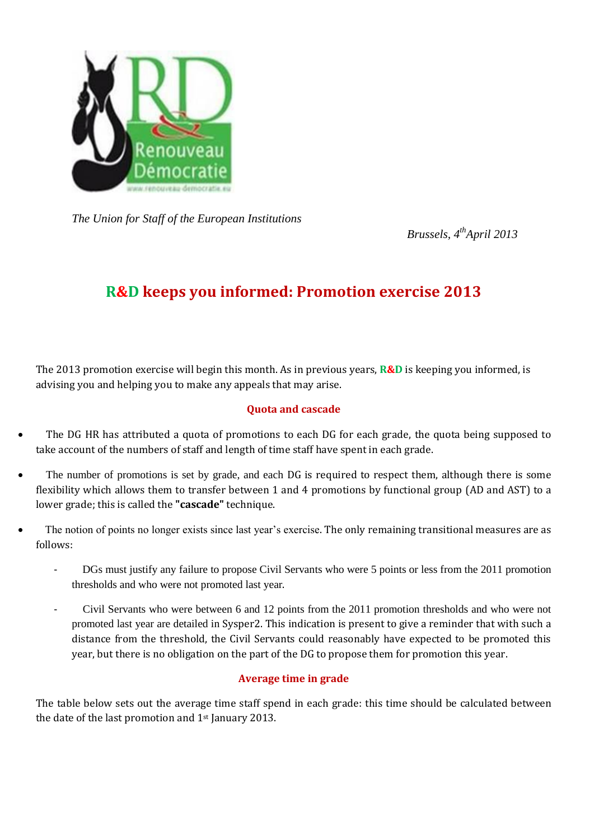

*The Union for Staff of the European Institutions*

*Brussels, 4 thApril 2013*

# **R&D keeps you informed: Promotion exercise 2013**

The 2013 promotion exercise will begin this month. As in previous years, **R&D** is keeping you informed, is advising you and helping you to make any appeals that may arise.

### **Quota and cascade**

- The DG HR has attributed a quota of promotions to each DG for each grade, the quota being supposed to take account of the numbers of staff and length of time staff have spent in each grade.
- The number of promotions is set by grade, and each DG is required to respect them, although there is some flexibility which allows them to transfer between 1 and 4 promotions by functional group (AD and AST) to a lower grade; this is called the **"cascade"** technique.
- The notion of points no longer exists since last year's exercise. The only remaining transitional measures are as follows:
	- DGs must justify any failure to propose Civil Servants who were 5 points or less from the 2011 promotion thresholds and who were not promoted last year.
	- Civil Servants who were between 6 and 12 points from the 2011 promotion thresholds and who were not promoted last year are detailed in Sysper2. This indication is present to give a reminder that with such a distance from the threshold, the Civil Servants could reasonably have expected to be promoted this year, but there is no obligation on the part of the DG to propose them for promotion this year.

## **Average time in grade**

The table below sets out the average time staff spend in each grade: this time should be calculated between the date of the last promotion and 1st January 2013.